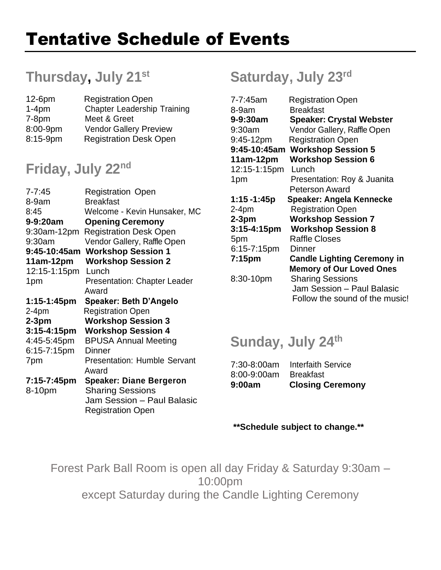# **Thursday, July 21st**

| $12-6$ pm | <b>Registration Open</b>           |
|-----------|------------------------------------|
| $1-4pm$   | <b>Chapter Leadership Training</b> |
| $7-8pm$   | Meet & Greet                       |
| 8:00-9pm  | <b>Vendor Gallery Preview</b>      |
| 8:15-9pm  | <b>Registration Desk Open</b>      |
|           |                                    |

## **Friday, July 22nd**

| $7 - 7:45$   | <b>Registration Open</b>            |
|--------------|-------------------------------------|
| 8-9am        | <b>Breakfast</b>                    |
| 8:45         | Welcome - Kevin Hunsaker, MC        |
| 9-9:20am     | <b>Opening Ceremony</b>             |
| 9:30am-12pm  | <b>Registration Desk Open</b>       |
| 9:30am       | Vendor Gallery, Raffle Open         |
| 9:45-10:45am | <b>Workshop Session 1</b>           |
| 11am-12pm    | <b>Workshop Session 2</b>           |
| 12:15-1:15pm | Lunch                               |
| 1pm          | <b>Presentation: Chapter Leader</b> |
|              | Award                               |
| 1:15-1:45pm  | <b>Speaker: Beth D'Angelo</b>       |
| $2-4pm$      | <b>Registration Open</b>            |
| $2-3$ pm     | <b>Workshop Session 3</b>           |
| 3:15-4:15pm  | <b>Workshop Session 4</b>           |
| 4:45-5:45pm  | <b>BPUSA Annual Meeting</b>         |
| 6:15-7:15pm  | Dinner                              |
| 7pm          | <b>Presentation: Humble Servant</b> |
|              | Award                               |
| 7:15-7:45pm  | <b>Speaker: Diane Bergeron</b>      |
| 8-10pm       | <b>Sharing Sessions</b>             |
|              | Jam Session - Paul Balasic          |
|              | <b>Registration Open</b>            |
|              |                                     |

# **Saturday, July 23rd**

| 7-7:45am         | <b>Registration Open</b>           |
|------------------|------------------------------------|
| 8-9am            | <b>Breakfast</b>                   |
| 9-9:30am         | <b>Speaker: Crystal Webster</b>    |
| 9:30am           | Vendor Gallery, Raffle Open        |
| 9:45-12pm        | <b>Registration Open</b>           |
| 9:45-10:45am     | <b>Workshop Session 5</b>          |
| $11am-12pm$      | <b>Workshop Session 6</b>          |
| 12:15-1:15pm     | Lunch                              |
| 1pm              | Presentation: Roy & Juanita        |
|                  | <b>Peterson Award</b>              |
| 1:15 -1:45p      | Speaker: Angela Kennecke           |
| $2-4pm$          | <b>Registration Open</b>           |
| $2-3$ pm         | <b>Workshop Session 7</b>          |
| $3:15 - 4:15$ pm | <b>Workshop Session 8</b>          |
| 5pm              | <b>Raffle Closes</b>               |
| 6:15-7:15pm      | Dinner                             |
| 7:15pm           | <b>Candle Lighting Ceremony in</b> |
|                  | <b>Memory of Our Loved Ones</b>    |
| 8:30-10pm        | <b>Sharing Sessions</b>            |
|                  | Jam Session - Paul Balasic         |
|                  | Follow the sound of the music!     |

## **Sunday, July 24th**

| 9:00am        | <b>Closing Ceremony</b>   |
|---------------|---------------------------|
| $8:00-9:00am$ | <b>Breakfast</b>          |
| 7:30-8:00am   | <b>Interfaith Service</b> |

### **\*\*Schedule subject to change.\*\***

Forest Park Ball Room is open all day Friday & Saturday 9:30am – 10:00pm except Saturday during the Candle Lighting Ceremony